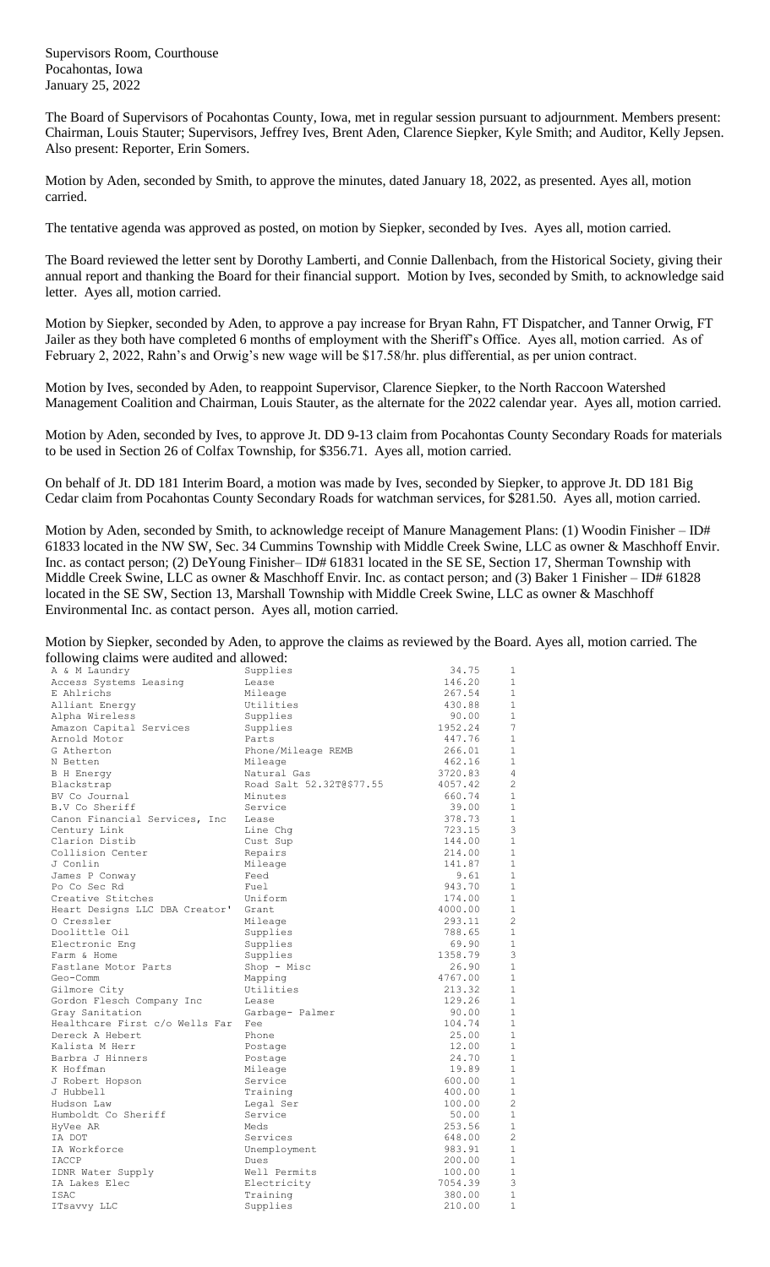Supervisors Room, Courthouse Pocahontas, Iowa January 25, 2022

The Board of Supervisors of Pocahontas County, Iowa, met in regular session pursuant to adjournment. Members present: Chairman, Louis Stauter; Supervisors, Jeffrey Ives, Brent Aden, Clarence Siepker, Kyle Smith; and Auditor, Kelly Jepsen. Also present: Reporter, Erin Somers.

Motion by Aden, seconded by Smith, to approve the minutes, dated January 18, 2022, as presented. Ayes all, motion carried.

The tentative agenda was approved as posted, on motion by Siepker, seconded by Ives. Ayes all, motion carried.

The Board reviewed the letter sent by Dorothy Lamberti, and Connie Dallenbach, from the Historical Society, giving their annual report and thanking the Board for their financial support. Motion by Ives, seconded by Smith, to acknowledge said letter. Ayes all, motion carried.

Motion by Siepker, seconded by Aden, to approve a pay increase for Bryan Rahn, FT Dispatcher, and Tanner Orwig, FT Jailer as they both have completed 6 months of employment with the Sheriff's Office. Ayes all, motion carried. As of February 2, 2022, Rahn's and Orwig's new wage will be \$17.58/hr. plus differential, as per union contract.

Motion by Ives, seconded by Aden, to reappoint Supervisor, Clarence Siepker, to the North Raccoon Watershed Management Coalition and Chairman, Louis Stauter, as the alternate for the 2022 calendar year. Ayes all, motion carried.

Motion by Aden, seconded by Ives, to approve Jt. DD 9-13 claim from Pocahontas County Secondary Roads for materials to be used in Section 26 of Colfax Township, for \$356.71. Ayes all, motion carried.

On behalf of Jt. DD 181 Interim Board, a motion was made by Ives, seconded by Siepker, to approve Jt. DD 181 Big Cedar claim from Pocahontas County Secondary Roads for watchman services, for \$281.50. Ayes all, motion carried.

Motion by Aden, seconded by Smith, to acknowledge receipt of Manure Management Plans: (1) Woodin Finisher – ID# 61833 located in the NW SW, Sec. 34 Cummins Township with Middle Creek Swine, LLC as owner & Maschhoff Envir. Inc. as contact person; (2) DeYoung Finisher– ID# 61831 located in the SE SE, Section 17, Sherman Township with Middle Creek Swine, LLC as owner & Maschhoff Envir. Inc. as contact person; and (3) Baker 1 Finisher – ID# 61828 located in the SE SW, Section 13, Marshall Township with Middle Creek Swine, LLC as owner & Maschhoff Environmental Inc. as contact person. Ayes all, motion carried.

Motion by Siepker, seconded by Aden, to approve the claims as reviewed by the Board. Ayes all, motion carried. The following claims were audited and allowed:

| following claims were addited and allowed.<br>A & M Laundry | Supplies                 | 34.75   | 1              |
|-------------------------------------------------------------|--------------------------|---------|----------------|
| Access Systems Leasing                                      | Lease                    | 146.20  | 1              |
|                                                             |                          | 267.54  | $\mathbf{1}$   |
| E Ahlrichs                                                  | Mileage                  |         | $\mathbf{1}$   |
| Alliant Energy                                              | Utilities                | 430.88  |                |
| Alpha Wireless                                              | Supplies                 | 90.00   | $\mathbf 1$    |
| Amazon Capital Services                                     | Supplies                 | 1952.24 | 7              |
| Arnold Motor                                                | Parts                    | 447.76  | $\mathbf{1}$   |
| G Atherton                                                  | Phone/Mileage REMB       | 266.01  | 1              |
| N Betten                                                    | Mileage                  | 462.16  | $\mathbf{1}$   |
| B H Energy                                                  | Natural Gas              | 3720.83 | 4              |
| Blackstrap                                                  | Road Salt 52.32T@\$77.55 | 4057.42 | $\overline{c}$ |
| BV Co Journal                                               | Minutes                  | 660.74  | 1              |
| B.V Co Sheriff                                              | Service                  | 39.00   | $\mathbf{1}$   |
| Canon Financial Services, Inc                               | Lease                    | 378.73  | 1              |
| Century Link                                                | Line Chg                 | 723.15  | 3              |
| Clarion Distib                                              | Cust Sup                 | 144.00  | $\mathbf{1}$   |
| Collision Center                                            | Repairs                  | 214.00  | $\mathbf{1}$   |
| J Conlin                                                    | Mileage                  | 141.87  | $\mathbf{1}$   |
| James P Conway                                              | Feed                     | 9.61    | $\mathbf{1}$   |
| Po Co Sec Rd                                                | Fuel                     | 943.70  | $\mathbf{1}$   |
| Creative Stitches                                           | Uniform                  | 174.00  | $\mathbf{1}$   |
| Heart Designs LLC DBA Creator'                              | Grant                    | 4000.00 | $\mathbf{1}$   |
| O Cressler                                                  | Mileage                  | 293.11  | $\overline{c}$ |
| Doolittle Oil                                               | Supplies                 | 788.65  | $\mathbf{1}$   |
| Electronic Eng                                              | Supplies                 | 69.90   | $\mathbf{1}$   |
| Farm & Home                                                 | Supplies                 | 1358.79 | 3              |
| Fastlane Motor Parts                                        | Shop - Misc              | 26.90   | $\mathbf{1}$   |
| Geo-Comm                                                    | Mapping                  | 4767.00 | $\mathbf{1}$   |
| Gilmore City                                                | Utilities                | 213.32  | $\mathbf{1}$   |
| Gordon Flesch Company Inc                                   | Lease                    | 129.26  | $\mathbf 1$    |
| Gray Sanitation                                             | Garbage- Palmer          | 90.00   | $\mathbf{1}$   |
| Healthcare First c/o Wells Far                              | Fee                      | 104.74  | 1              |
| Dereck A Hebert                                             | Phone                    | 25.00   | $\mathbf{1}$   |
| Kalista M Herr                                              | Postage                  | 12.00   | $\mathbf{1}$   |
| Barbra J Hinners                                            | Postage                  | 24.70   | $\mathbf{1}$   |
| K Hoffman                                                   | Mileage                  | 19.89   | $\mathbf 1$    |
| J Robert Hopson                                             | Service                  | 600.00  | $\mathbf{1}$   |
| J Hubbell                                                   | Training                 | 400.00  | $\mathbf{1}$   |
| Hudson Law                                                  | Legal Ser                | 100.00  | $\overline{c}$ |
|                                                             | Service                  |         | $\mathbf 1$    |
| Humboldt Co Sheriff                                         | Meds                     | 50.00   | $\mathbf{1}$   |
| HyVee AR                                                    |                          | 253.56  | $\overline{c}$ |
| IA DOT                                                      | Services                 | 648.00  |                |
| IA Workforce                                                | Unemployment             | 983.91  | $\mathbf{1}$   |
| IACCP                                                       | Dues                     | 200.00  | $\mathbf{1}$   |
| IDNR Water Supply                                           | Well Permits             | 100.00  | $\mathbf{1}$   |
| IA Lakes Elec                                               | Electricity              | 7054.39 | 3              |
| <b>ISAC</b>                                                 | Training                 | 380.00  | $\mathbf{1}$   |
| ITsavvy LLC                                                 | Supplies                 | 210.00  | $1\,$          |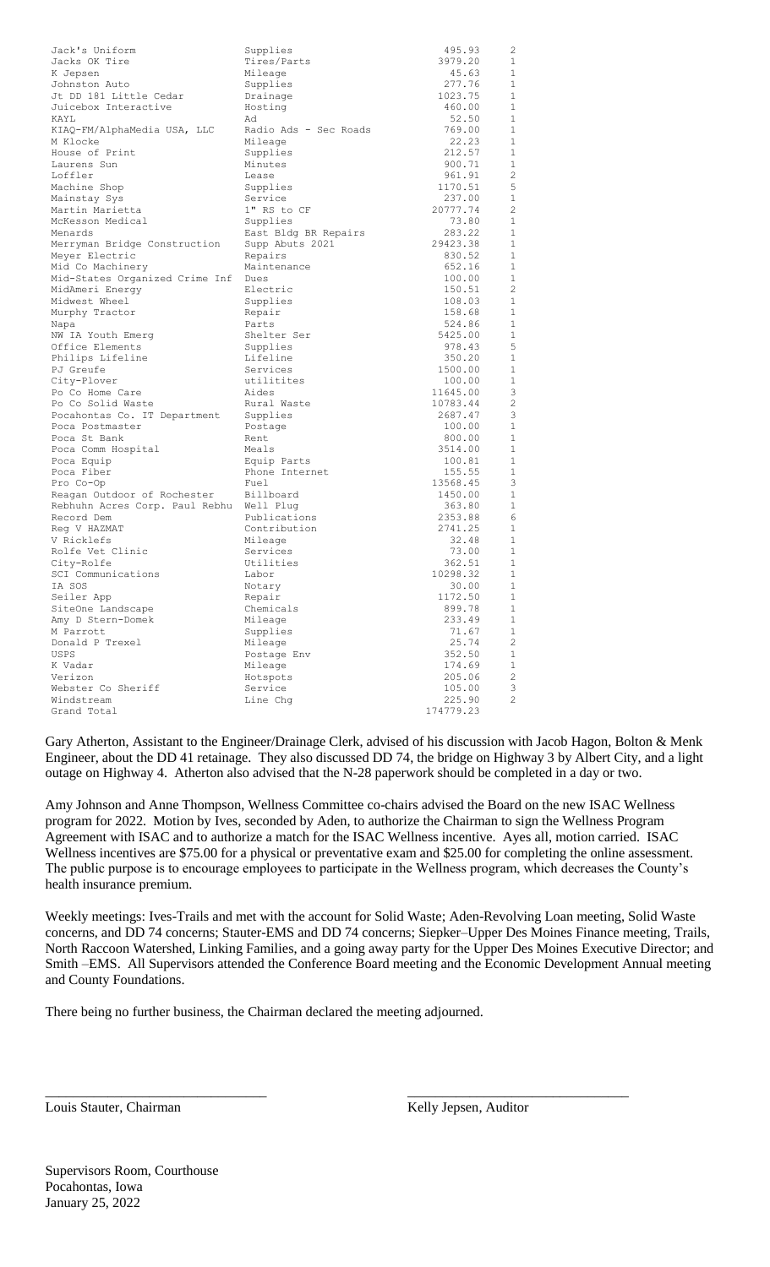| 3979.20<br>$\mathbf{1}$<br>Jacks OK Tire<br>Tires/Parts<br>45.63<br>$\mathbf{1}$<br>K Jepsen<br>Mileage<br>277.76<br>$\mathbf{1}$<br>Supplies<br>Johnston Auto<br>$\mathbf{1}$<br>Jt DD 181 Little Cedar<br>1023.75<br>Drainage<br>Juicebox Interactive<br>$\mathbf{1}$<br>Hosting<br>460.00<br>$\mathbf{1}$<br>52.50<br>KAYL<br>Ad<br>$\mathbf{1}$<br>KIAQ-FM/AlphaMedia USA, LLC<br>Radio Ads - Sec Roads<br>769.00<br>22.23<br>$\mathbf{1}$<br>M Klocke<br>Mileage<br>212.57<br>1<br>House of Print<br>Supplies<br>$\mathbf{1}$<br>900.71<br>Laurens Sun<br>Minutes<br>2<br>Loffler<br>961.91<br>Lease<br>1170.51<br>5<br>Machine Shop<br>Supplies<br>1<br>Service<br>237.00<br>Mainstay Sys<br>$\overline{2}$<br>1" RS to CF<br>Martin Marietta<br>20777.74<br>$\mathbf{1}$<br>McKesson Medical<br>73.80<br>Supplies<br>283.22<br>1<br>East Bldg BR Repairs<br>Menards<br>29423.38<br>1<br>Supp Abuts 2021<br>Merryman Bridge Construction<br>1<br>Meyer Electric<br>Repairs<br>830.52<br>1<br>Mid Co Machinery<br>652.16<br>Maintenance<br>$\mathbf{1}$<br>Mid-States Organized Crime Inf<br>100.00<br>Dues<br>2<br>Electric<br>150.51<br>MidAmeri Energy<br>$\mathbf{1}$<br>108.03<br>Midwest Wheel<br>Supplies<br>1<br>158.68<br>Murphy Tractor<br>Repair<br>1<br>524.86<br>Napa<br>Parts<br>$\mathbf{1}$<br>Shelter Ser<br>5425.00<br>NW IA Youth Emerg<br>5<br>Office Elements<br>978.43<br>Supplies<br>$\mathbf{1}$<br>Philips Lifeline<br>Lifeline<br>350.20<br>1<br>PJ Greufe<br>Services<br>1500.00<br>1<br>City-Plover<br>utilitites<br>100.00<br>3<br>Po Co Home Care<br>Aides<br>11645.00<br>$\overline{2}$<br>Po Co Solid Waste<br>Rural Waste<br>10783.44<br>3<br>Pocahontas Co. IT Department<br>2687.47<br>Supplies<br>$\mathbf{1}$<br>100.00<br>Poca Postmaster<br>Postage<br>1<br>Poca St Bank<br>800.00<br>Rent<br>1<br>Meals<br>3514.00<br>Poca Comm Hospital<br>1<br>Equip Parts<br>100.81<br>Poca Equip<br>1<br>Poca Fiber<br>Phone Internet<br>155.55<br>3<br>Pro Co-Op<br>Fuel<br>13568.45<br>$\mathbf{1}$<br>Reagan Outdoor of Rochester<br>Billboard<br>1450.00<br>$\mathbf{1}$<br>Rebhuhn Acres Corp. Paul Rebhu<br>363.80<br>Well Plug<br>2353.88<br>6<br>Publications<br>Record Dem<br>2741.25<br>1<br>Reg V HAZMAT<br>Contribution<br>32.48<br>1<br>V Ricklefs<br>Mileage<br>1<br>Rolfe Vet Clinic<br>Services<br>73.00<br>362.51<br>$\mathbf{1}$<br>City-Rolfe<br>Utilities<br>10298.32<br>$\mathbf{1}$<br>SCI Communications<br>Labor<br>IA SOS<br>1<br>30.00<br>Notary<br>1172.50<br>$\mathbf{1}$<br>Seiler App<br>Repair<br>SiteOne Landscape<br>Chemicals<br>899.78<br>$\mathbf{1}$<br>233.49<br>$\mathbf{1}$<br>Amy D Stern-Domek<br>Mileage<br>71.67<br>$\mathbf{1}$<br>M Parrott<br>Supplies<br>$\mathbf{2}$<br>Mileage<br>25.74<br>Donald P Trexel<br>352.50<br>$\mathbf{1}$<br>USPS<br>Postage Env<br>$\mathbf{1}$<br>K Vadar<br>Mileage<br>174.69<br>2<br>Verizon<br>Hotspots<br>205.06<br>3<br>Webster Co Sheriff<br>Service<br>105.00<br>$\mathbf{2}$<br>Windstream<br>Line Chq<br>225.90 | Jack's Uniform | Supplies | 495.93    | 2 |
|------------------------------------------------------------------------------------------------------------------------------------------------------------------------------------------------------------------------------------------------------------------------------------------------------------------------------------------------------------------------------------------------------------------------------------------------------------------------------------------------------------------------------------------------------------------------------------------------------------------------------------------------------------------------------------------------------------------------------------------------------------------------------------------------------------------------------------------------------------------------------------------------------------------------------------------------------------------------------------------------------------------------------------------------------------------------------------------------------------------------------------------------------------------------------------------------------------------------------------------------------------------------------------------------------------------------------------------------------------------------------------------------------------------------------------------------------------------------------------------------------------------------------------------------------------------------------------------------------------------------------------------------------------------------------------------------------------------------------------------------------------------------------------------------------------------------------------------------------------------------------------------------------------------------------------------------------------------------------------------------------------------------------------------------------------------------------------------------------------------------------------------------------------------------------------------------------------------------------------------------------------------------------------------------------------------------------------------------------------------------------------------------------------------------------------------------------------------------------------------------------------------------------------------------------------------------------------------------------------------------------------------------------------------------------------------------------------------------------------------------------------------------------------------------------------------------------------------------------------------------------------------------------------------------------------------------------------------------------------------------------------------------------------------|----------------|----------|-----------|---|
|                                                                                                                                                                                                                                                                                                                                                                                                                                                                                                                                                                                                                                                                                                                                                                                                                                                                                                                                                                                                                                                                                                                                                                                                                                                                                                                                                                                                                                                                                                                                                                                                                                                                                                                                                                                                                                                                                                                                                                                                                                                                                                                                                                                                                                                                                                                                                                                                                                                                                                                                                                                                                                                                                                                                                                                                                                                                                                                                                                                                                                          |                |          |           |   |
|                                                                                                                                                                                                                                                                                                                                                                                                                                                                                                                                                                                                                                                                                                                                                                                                                                                                                                                                                                                                                                                                                                                                                                                                                                                                                                                                                                                                                                                                                                                                                                                                                                                                                                                                                                                                                                                                                                                                                                                                                                                                                                                                                                                                                                                                                                                                                                                                                                                                                                                                                                                                                                                                                                                                                                                                                                                                                                                                                                                                                                          |                |          |           |   |
|                                                                                                                                                                                                                                                                                                                                                                                                                                                                                                                                                                                                                                                                                                                                                                                                                                                                                                                                                                                                                                                                                                                                                                                                                                                                                                                                                                                                                                                                                                                                                                                                                                                                                                                                                                                                                                                                                                                                                                                                                                                                                                                                                                                                                                                                                                                                                                                                                                                                                                                                                                                                                                                                                                                                                                                                                                                                                                                                                                                                                                          |                |          |           |   |
|                                                                                                                                                                                                                                                                                                                                                                                                                                                                                                                                                                                                                                                                                                                                                                                                                                                                                                                                                                                                                                                                                                                                                                                                                                                                                                                                                                                                                                                                                                                                                                                                                                                                                                                                                                                                                                                                                                                                                                                                                                                                                                                                                                                                                                                                                                                                                                                                                                                                                                                                                                                                                                                                                                                                                                                                                                                                                                                                                                                                                                          |                |          |           |   |
|                                                                                                                                                                                                                                                                                                                                                                                                                                                                                                                                                                                                                                                                                                                                                                                                                                                                                                                                                                                                                                                                                                                                                                                                                                                                                                                                                                                                                                                                                                                                                                                                                                                                                                                                                                                                                                                                                                                                                                                                                                                                                                                                                                                                                                                                                                                                                                                                                                                                                                                                                                                                                                                                                                                                                                                                                                                                                                                                                                                                                                          |                |          |           |   |
|                                                                                                                                                                                                                                                                                                                                                                                                                                                                                                                                                                                                                                                                                                                                                                                                                                                                                                                                                                                                                                                                                                                                                                                                                                                                                                                                                                                                                                                                                                                                                                                                                                                                                                                                                                                                                                                                                                                                                                                                                                                                                                                                                                                                                                                                                                                                                                                                                                                                                                                                                                                                                                                                                                                                                                                                                                                                                                                                                                                                                                          |                |          |           |   |
|                                                                                                                                                                                                                                                                                                                                                                                                                                                                                                                                                                                                                                                                                                                                                                                                                                                                                                                                                                                                                                                                                                                                                                                                                                                                                                                                                                                                                                                                                                                                                                                                                                                                                                                                                                                                                                                                                                                                                                                                                                                                                                                                                                                                                                                                                                                                                                                                                                                                                                                                                                                                                                                                                                                                                                                                                                                                                                                                                                                                                                          |                |          |           |   |
|                                                                                                                                                                                                                                                                                                                                                                                                                                                                                                                                                                                                                                                                                                                                                                                                                                                                                                                                                                                                                                                                                                                                                                                                                                                                                                                                                                                                                                                                                                                                                                                                                                                                                                                                                                                                                                                                                                                                                                                                                                                                                                                                                                                                                                                                                                                                                                                                                                                                                                                                                                                                                                                                                                                                                                                                                                                                                                                                                                                                                                          |                |          |           |   |
|                                                                                                                                                                                                                                                                                                                                                                                                                                                                                                                                                                                                                                                                                                                                                                                                                                                                                                                                                                                                                                                                                                                                                                                                                                                                                                                                                                                                                                                                                                                                                                                                                                                                                                                                                                                                                                                                                                                                                                                                                                                                                                                                                                                                                                                                                                                                                                                                                                                                                                                                                                                                                                                                                                                                                                                                                                                                                                                                                                                                                                          |                |          |           |   |
|                                                                                                                                                                                                                                                                                                                                                                                                                                                                                                                                                                                                                                                                                                                                                                                                                                                                                                                                                                                                                                                                                                                                                                                                                                                                                                                                                                                                                                                                                                                                                                                                                                                                                                                                                                                                                                                                                                                                                                                                                                                                                                                                                                                                                                                                                                                                                                                                                                                                                                                                                                                                                                                                                                                                                                                                                                                                                                                                                                                                                                          |                |          |           |   |
|                                                                                                                                                                                                                                                                                                                                                                                                                                                                                                                                                                                                                                                                                                                                                                                                                                                                                                                                                                                                                                                                                                                                                                                                                                                                                                                                                                                                                                                                                                                                                                                                                                                                                                                                                                                                                                                                                                                                                                                                                                                                                                                                                                                                                                                                                                                                                                                                                                                                                                                                                                                                                                                                                                                                                                                                                                                                                                                                                                                                                                          |                |          |           |   |
|                                                                                                                                                                                                                                                                                                                                                                                                                                                                                                                                                                                                                                                                                                                                                                                                                                                                                                                                                                                                                                                                                                                                                                                                                                                                                                                                                                                                                                                                                                                                                                                                                                                                                                                                                                                                                                                                                                                                                                                                                                                                                                                                                                                                                                                                                                                                                                                                                                                                                                                                                                                                                                                                                                                                                                                                                                                                                                                                                                                                                                          |                |          |           |   |
|                                                                                                                                                                                                                                                                                                                                                                                                                                                                                                                                                                                                                                                                                                                                                                                                                                                                                                                                                                                                                                                                                                                                                                                                                                                                                                                                                                                                                                                                                                                                                                                                                                                                                                                                                                                                                                                                                                                                                                                                                                                                                                                                                                                                                                                                                                                                                                                                                                                                                                                                                                                                                                                                                                                                                                                                                                                                                                                                                                                                                                          |                |          |           |   |
|                                                                                                                                                                                                                                                                                                                                                                                                                                                                                                                                                                                                                                                                                                                                                                                                                                                                                                                                                                                                                                                                                                                                                                                                                                                                                                                                                                                                                                                                                                                                                                                                                                                                                                                                                                                                                                                                                                                                                                                                                                                                                                                                                                                                                                                                                                                                                                                                                                                                                                                                                                                                                                                                                                                                                                                                                                                                                                                                                                                                                                          |                |          |           |   |
|                                                                                                                                                                                                                                                                                                                                                                                                                                                                                                                                                                                                                                                                                                                                                                                                                                                                                                                                                                                                                                                                                                                                                                                                                                                                                                                                                                                                                                                                                                                                                                                                                                                                                                                                                                                                                                                                                                                                                                                                                                                                                                                                                                                                                                                                                                                                                                                                                                                                                                                                                                                                                                                                                                                                                                                                                                                                                                                                                                                                                                          |                |          |           |   |
|                                                                                                                                                                                                                                                                                                                                                                                                                                                                                                                                                                                                                                                                                                                                                                                                                                                                                                                                                                                                                                                                                                                                                                                                                                                                                                                                                                                                                                                                                                                                                                                                                                                                                                                                                                                                                                                                                                                                                                                                                                                                                                                                                                                                                                                                                                                                                                                                                                                                                                                                                                                                                                                                                                                                                                                                                                                                                                                                                                                                                                          |                |          |           |   |
|                                                                                                                                                                                                                                                                                                                                                                                                                                                                                                                                                                                                                                                                                                                                                                                                                                                                                                                                                                                                                                                                                                                                                                                                                                                                                                                                                                                                                                                                                                                                                                                                                                                                                                                                                                                                                                                                                                                                                                                                                                                                                                                                                                                                                                                                                                                                                                                                                                                                                                                                                                                                                                                                                                                                                                                                                                                                                                                                                                                                                                          |                |          |           |   |
|                                                                                                                                                                                                                                                                                                                                                                                                                                                                                                                                                                                                                                                                                                                                                                                                                                                                                                                                                                                                                                                                                                                                                                                                                                                                                                                                                                                                                                                                                                                                                                                                                                                                                                                                                                                                                                                                                                                                                                                                                                                                                                                                                                                                                                                                                                                                                                                                                                                                                                                                                                                                                                                                                                                                                                                                                                                                                                                                                                                                                                          |                |          |           |   |
|                                                                                                                                                                                                                                                                                                                                                                                                                                                                                                                                                                                                                                                                                                                                                                                                                                                                                                                                                                                                                                                                                                                                                                                                                                                                                                                                                                                                                                                                                                                                                                                                                                                                                                                                                                                                                                                                                                                                                                                                                                                                                                                                                                                                                                                                                                                                                                                                                                                                                                                                                                                                                                                                                                                                                                                                                                                                                                                                                                                                                                          |                |          |           |   |
|                                                                                                                                                                                                                                                                                                                                                                                                                                                                                                                                                                                                                                                                                                                                                                                                                                                                                                                                                                                                                                                                                                                                                                                                                                                                                                                                                                                                                                                                                                                                                                                                                                                                                                                                                                                                                                                                                                                                                                                                                                                                                                                                                                                                                                                                                                                                                                                                                                                                                                                                                                                                                                                                                                                                                                                                                                                                                                                                                                                                                                          |                |          |           |   |
|                                                                                                                                                                                                                                                                                                                                                                                                                                                                                                                                                                                                                                                                                                                                                                                                                                                                                                                                                                                                                                                                                                                                                                                                                                                                                                                                                                                                                                                                                                                                                                                                                                                                                                                                                                                                                                                                                                                                                                                                                                                                                                                                                                                                                                                                                                                                                                                                                                                                                                                                                                                                                                                                                                                                                                                                                                                                                                                                                                                                                                          |                |          |           |   |
|                                                                                                                                                                                                                                                                                                                                                                                                                                                                                                                                                                                                                                                                                                                                                                                                                                                                                                                                                                                                                                                                                                                                                                                                                                                                                                                                                                                                                                                                                                                                                                                                                                                                                                                                                                                                                                                                                                                                                                                                                                                                                                                                                                                                                                                                                                                                                                                                                                                                                                                                                                                                                                                                                                                                                                                                                                                                                                                                                                                                                                          |                |          |           |   |
|                                                                                                                                                                                                                                                                                                                                                                                                                                                                                                                                                                                                                                                                                                                                                                                                                                                                                                                                                                                                                                                                                                                                                                                                                                                                                                                                                                                                                                                                                                                                                                                                                                                                                                                                                                                                                                                                                                                                                                                                                                                                                                                                                                                                                                                                                                                                                                                                                                                                                                                                                                                                                                                                                                                                                                                                                                                                                                                                                                                                                                          |                |          |           |   |
|                                                                                                                                                                                                                                                                                                                                                                                                                                                                                                                                                                                                                                                                                                                                                                                                                                                                                                                                                                                                                                                                                                                                                                                                                                                                                                                                                                                                                                                                                                                                                                                                                                                                                                                                                                                                                                                                                                                                                                                                                                                                                                                                                                                                                                                                                                                                                                                                                                                                                                                                                                                                                                                                                                                                                                                                                                                                                                                                                                                                                                          |                |          |           |   |
|                                                                                                                                                                                                                                                                                                                                                                                                                                                                                                                                                                                                                                                                                                                                                                                                                                                                                                                                                                                                                                                                                                                                                                                                                                                                                                                                                                                                                                                                                                                                                                                                                                                                                                                                                                                                                                                                                                                                                                                                                                                                                                                                                                                                                                                                                                                                                                                                                                                                                                                                                                                                                                                                                                                                                                                                                                                                                                                                                                                                                                          |                |          |           |   |
|                                                                                                                                                                                                                                                                                                                                                                                                                                                                                                                                                                                                                                                                                                                                                                                                                                                                                                                                                                                                                                                                                                                                                                                                                                                                                                                                                                                                                                                                                                                                                                                                                                                                                                                                                                                                                                                                                                                                                                                                                                                                                                                                                                                                                                                                                                                                                                                                                                                                                                                                                                                                                                                                                                                                                                                                                                                                                                                                                                                                                                          |                |          |           |   |
|                                                                                                                                                                                                                                                                                                                                                                                                                                                                                                                                                                                                                                                                                                                                                                                                                                                                                                                                                                                                                                                                                                                                                                                                                                                                                                                                                                                                                                                                                                                                                                                                                                                                                                                                                                                                                                                                                                                                                                                                                                                                                                                                                                                                                                                                                                                                                                                                                                                                                                                                                                                                                                                                                                                                                                                                                                                                                                                                                                                                                                          |                |          |           |   |
|                                                                                                                                                                                                                                                                                                                                                                                                                                                                                                                                                                                                                                                                                                                                                                                                                                                                                                                                                                                                                                                                                                                                                                                                                                                                                                                                                                                                                                                                                                                                                                                                                                                                                                                                                                                                                                                                                                                                                                                                                                                                                                                                                                                                                                                                                                                                                                                                                                                                                                                                                                                                                                                                                                                                                                                                                                                                                                                                                                                                                                          |                |          |           |   |
|                                                                                                                                                                                                                                                                                                                                                                                                                                                                                                                                                                                                                                                                                                                                                                                                                                                                                                                                                                                                                                                                                                                                                                                                                                                                                                                                                                                                                                                                                                                                                                                                                                                                                                                                                                                                                                                                                                                                                                                                                                                                                                                                                                                                                                                                                                                                                                                                                                                                                                                                                                                                                                                                                                                                                                                                                                                                                                                                                                                                                                          |                |          |           |   |
|                                                                                                                                                                                                                                                                                                                                                                                                                                                                                                                                                                                                                                                                                                                                                                                                                                                                                                                                                                                                                                                                                                                                                                                                                                                                                                                                                                                                                                                                                                                                                                                                                                                                                                                                                                                                                                                                                                                                                                                                                                                                                                                                                                                                                                                                                                                                                                                                                                                                                                                                                                                                                                                                                                                                                                                                                                                                                                                                                                                                                                          |                |          |           |   |
|                                                                                                                                                                                                                                                                                                                                                                                                                                                                                                                                                                                                                                                                                                                                                                                                                                                                                                                                                                                                                                                                                                                                                                                                                                                                                                                                                                                                                                                                                                                                                                                                                                                                                                                                                                                                                                                                                                                                                                                                                                                                                                                                                                                                                                                                                                                                                                                                                                                                                                                                                                                                                                                                                                                                                                                                                                                                                                                                                                                                                                          |                |          |           |   |
|                                                                                                                                                                                                                                                                                                                                                                                                                                                                                                                                                                                                                                                                                                                                                                                                                                                                                                                                                                                                                                                                                                                                                                                                                                                                                                                                                                                                                                                                                                                                                                                                                                                                                                                                                                                                                                                                                                                                                                                                                                                                                                                                                                                                                                                                                                                                                                                                                                                                                                                                                                                                                                                                                                                                                                                                                                                                                                                                                                                                                                          |                |          |           |   |
|                                                                                                                                                                                                                                                                                                                                                                                                                                                                                                                                                                                                                                                                                                                                                                                                                                                                                                                                                                                                                                                                                                                                                                                                                                                                                                                                                                                                                                                                                                                                                                                                                                                                                                                                                                                                                                                                                                                                                                                                                                                                                                                                                                                                                                                                                                                                                                                                                                                                                                                                                                                                                                                                                                                                                                                                                                                                                                                                                                                                                                          |                |          |           |   |
|                                                                                                                                                                                                                                                                                                                                                                                                                                                                                                                                                                                                                                                                                                                                                                                                                                                                                                                                                                                                                                                                                                                                                                                                                                                                                                                                                                                                                                                                                                                                                                                                                                                                                                                                                                                                                                                                                                                                                                                                                                                                                                                                                                                                                                                                                                                                                                                                                                                                                                                                                                                                                                                                                                                                                                                                                                                                                                                                                                                                                                          |                |          |           |   |
|                                                                                                                                                                                                                                                                                                                                                                                                                                                                                                                                                                                                                                                                                                                                                                                                                                                                                                                                                                                                                                                                                                                                                                                                                                                                                                                                                                                                                                                                                                                                                                                                                                                                                                                                                                                                                                                                                                                                                                                                                                                                                                                                                                                                                                                                                                                                                                                                                                                                                                                                                                                                                                                                                                                                                                                                                                                                                                                                                                                                                                          |                |          |           |   |
|                                                                                                                                                                                                                                                                                                                                                                                                                                                                                                                                                                                                                                                                                                                                                                                                                                                                                                                                                                                                                                                                                                                                                                                                                                                                                                                                                                                                                                                                                                                                                                                                                                                                                                                                                                                                                                                                                                                                                                                                                                                                                                                                                                                                                                                                                                                                                                                                                                                                                                                                                                                                                                                                                                                                                                                                                                                                                                                                                                                                                                          |                |          |           |   |
|                                                                                                                                                                                                                                                                                                                                                                                                                                                                                                                                                                                                                                                                                                                                                                                                                                                                                                                                                                                                                                                                                                                                                                                                                                                                                                                                                                                                                                                                                                                                                                                                                                                                                                                                                                                                                                                                                                                                                                                                                                                                                                                                                                                                                                                                                                                                                                                                                                                                                                                                                                                                                                                                                                                                                                                                                                                                                                                                                                                                                                          |                |          |           |   |
|                                                                                                                                                                                                                                                                                                                                                                                                                                                                                                                                                                                                                                                                                                                                                                                                                                                                                                                                                                                                                                                                                                                                                                                                                                                                                                                                                                                                                                                                                                                                                                                                                                                                                                                                                                                                                                                                                                                                                                                                                                                                                                                                                                                                                                                                                                                                                                                                                                                                                                                                                                                                                                                                                                                                                                                                                                                                                                                                                                                                                                          |                |          |           |   |
|                                                                                                                                                                                                                                                                                                                                                                                                                                                                                                                                                                                                                                                                                                                                                                                                                                                                                                                                                                                                                                                                                                                                                                                                                                                                                                                                                                                                                                                                                                                                                                                                                                                                                                                                                                                                                                                                                                                                                                                                                                                                                                                                                                                                                                                                                                                                                                                                                                                                                                                                                                                                                                                                                                                                                                                                                                                                                                                                                                                                                                          |                |          |           |   |
|                                                                                                                                                                                                                                                                                                                                                                                                                                                                                                                                                                                                                                                                                                                                                                                                                                                                                                                                                                                                                                                                                                                                                                                                                                                                                                                                                                                                                                                                                                                                                                                                                                                                                                                                                                                                                                                                                                                                                                                                                                                                                                                                                                                                                                                                                                                                                                                                                                                                                                                                                                                                                                                                                                                                                                                                                                                                                                                                                                                                                                          |                |          |           |   |
|                                                                                                                                                                                                                                                                                                                                                                                                                                                                                                                                                                                                                                                                                                                                                                                                                                                                                                                                                                                                                                                                                                                                                                                                                                                                                                                                                                                                                                                                                                                                                                                                                                                                                                                                                                                                                                                                                                                                                                                                                                                                                                                                                                                                                                                                                                                                                                                                                                                                                                                                                                                                                                                                                                                                                                                                                                                                                                                                                                                                                                          |                |          |           |   |
|                                                                                                                                                                                                                                                                                                                                                                                                                                                                                                                                                                                                                                                                                                                                                                                                                                                                                                                                                                                                                                                                                                                                                                                                                                                                                                                                                                                                                                                                                                                                                                                                                                                                                                                                                                                                                                                                                                                                                                                                                                                                                                                                                                                                                                                                                                                                                                                                                                                                                                                                                                                                                                                                                                                                                                                                                                                                                                                                                                                                                                          |                |          |           |   |
|                                                                                                                                                                                                                                                                                                                                                                                                                                                                                                                                                                                                                                                                                                                                                                                                                                                                                                                                                                                                                                                                                                                                                                                                                                                                                                                                                                                                                                                                                                                                                                                                                                                                                                                                                                                                                                                                                                                                                                                                                                                                                                                                                                                                                                                                                                                                                                                                                                                                                                                                                                                                                                                                                                                                                                                                                                                                                                                                                                                                                                          |                |          |           |   |
|                                                                                                                                                                                                                                                                                                                                                                                                                                                                                                                                                                                                                                                                                                                                                                                                                                                                                                                                                                                                                                                                                                                                                                                                                                                                                                                                                                                                                                                                                                                                                                                                                                                                                                                                                                                                                                                                                                                                                                                                                                                                                                                                                                                                                                                                                                                                                                                                                                                                                                                                                                                                                                                                                                                                                                                                                                                                                                                                                                                                                                          |                |          |           |   |
|                                                                                                                                                                                                                                                                                                                                                                                                                                                                                                                                                                                                                                                                                                                                                                                                                                                                                                                                                                                                                                                                                                                                                                                                                                                                                                                                                                                                                                                                                                                                                                                                                                                                                                                                                                                                                                                                                                                                                                                                                                                                                                                                                                                                                                                                                                                                                                                                                                                                                                                                                                                                                                                                                                                                                                                                                                                                                                                                                                                                                                          |                |          |           |   |
|                                                                                                                                                                                                                                                                                                                                                                                                                                                                                                                                                                                                                                                                                                                                                                                                                                                                                                                                                                                                                                                                                                                                                                                                                                                                                                                                                                                                                                                                                                                                                                                                                                                                                                                                                                                                                                                                                                                                                                                                                                                                                                                                                                                                                                                                                                                                                                                                                                                                                                                                                                                                                                                                                                                                                                                                                                                                                                                                                                                                                                          |                |          |           |   |
|                                                                                                                                                                                                                                                                                                                                                                                                                                                                                                                                                                                                                                                                                                                                                                                                                                                                                                                                                                                                                                                                                                                                                                                                                                                                                                                                                                                                                                                                                                                                                                                                                                                                                                                                                                                                                                                                                                                                                                                                                                                                                                                                                                                                                                                                                                                                                                                                                                                                                                                                                                                                                                                                                                                                                                                                                                                                                                                                                                                                                                          |                |          |           |   |
|                                                                                                                                                                                                                                                                                                                                                                                                                                                                                                                                                                                                                                                                                                                                                                                                                                                                                                                                                                                                                                                                                                                                                                                                                                                                                                                                                                                                                                                                                                                                                                                                                                                                                                                                                                                                                                                                                                                                                                                                                                                                                                                                                                                                                                                                                                                                                                                                                                                                                                                                                                                                                                                                                                                                                                                                                                                                                                                                                                                                                                          |                |          |           |   |
|                                                                                                                                                                                                                                                                                                                                                                                                                                                                                                                                                                                                                                                                                                                                                                                                                                                                                                                                                                                                                                                                                                                                                                                                                                                                                                                                                                                                                                                                                                                                                                                                                                                                                                                                                                                                                                                                                                                                                                                                                                                                                                                                                                                                                                                                                                                                                                                                                                                                                                                                                                                                                                                                                                                                                                                                                                                                                                                                                                                                                                          |                |          |           |   |
|                                                                                                                                                                                                                                                                                                                                                                                                                                                                                                                                                                                                                                                                                                                                                                                                                                                                                                                                                                                                                                                                                                                                                                                                                                                                                                                                                                                                                                                                                                                                                                                                                                                                                                                                                                                                                                                                                                                                                                                                                                                                                                                                                                                                                                                                                                                                                                                                                                                                                                                                                                                                                                                                                                                                                                                                                                                                                                                                                                                                                                          |                |          |           |   |
|                                                                                                                                                                                                                                                                                                                                                                                                                                                                                                                                                                                                                                                                                                                                                                                                                                                                                                                                                                                                                                                                                                                                                                                                                                                                                                                                                                                                                                                                                                                                                                                                                                                                                                                                                                                                                                                                                                                                                                                                                                                                                                                                                                                                                                                                                                                                                                                                                                                                                                                                                                                                                                                                                                                                                                                                                                                                                                                                                                                                                                          |                |          |           |   |
|                                                                                                                                                                                                                                                                                                                                                                                                                                                                                                                                                                                                                                                                                                                                                                                                                                                                                                                                                                                                                                                                                                                                                                                                                                                                                                                                                                                                                                                                                                                                                                                                                                                                                                                                                                                                                                                                                                                                                                                                                                                                                                                                                                                                                                                                                                                                                                                                                                                                                                                                                                                                                                                                                                                                                                                                                                                                                                                                                                                                                                          |                |          |           |   |
|                                                                                                                                                                                                                                                                                                                                                                                                                                                                                                                                                                                                                                                                                                                                                                                                                                                                                                                                                                                                                                                                                                                                                                                                                                                                                                                                                                                                                                                                                                                                                                                                                                                                                                                                                                                                                                                                                                                                                                                                                                                                                                                                                                                                                                                                                                                                                                                                                                                                                                                                                                                                                                                                                                                                                                                                                                                                                                                                                                                                                                          |                |          |           |   |
|                                                                                                                                                                                                                                                                                                                                                                                                                                                                                                                                                                                                                                                                                                                                                                                                                                                                                                                                                                                                                                                                                                                                                                                                                                                                                                                                                                                                                                                                                                                                                                                                                                                                                                                                                                                                                                                                                                                                                                                                                                                                                                                                                                                                                                                                                                                                                                                                                                                                                                                                                                                                                                                                                                                                                                                                                                                                                                                                                                                                                                          |                |          |           |   |
|                                                                                                                                                                                                                                                                                                                                                                                                                                                                                                                                                                                                                                                                                                                                                                                                                                                                                                                                                                                                                                                                                                                                                                                                                                                                                                                                                                                                                                                                                                                                                                                                                                                                                                                                                                                                                                                                                                                                                                                                                                                                                                                                                                                                                                                                                                                                                                                                                                                                                                                                                                                                                                                                                                                                                                                                                                                                                                                                                                                                                                          |                |          |           |   |
|                                                                                                                                                                                                                                                                                                                                                                                                                                                                                                                                                                                                                                                                                                                                                                                                                                                                                                                                                                                                                                                                                                                                                                                                                                                                                                                                                                                                                                                                                                                                                                                                                                                                                                                                                                                                                                                                                                                                                                                                                                                                                                                                                                                                                                                                                                                                                                                                                                                                                                                                                                                                                                                                                                                                                                                                                                                                                                                                                                                                                                          |                |          |           |   |
|                                                                                                                                                                                                                                                                                                                                                                                                                                                                                                                                                                                                                                                                                                                                                                                                                                                                                                                                                                                                                                                                                                                                                                                                                                                                                                                                                                                                                                                                                                                                                                                                                                                                                                                                                                                                                                                                                                                                                                                                                                                                                                                                                                                                                                                                                                                                                                                                                                                                                                                                                                                                                                                                                                                                                                                                                                                                                                                                                                                                                                          | Grand Total    |          | 174779.23 |   |

Gary Atherton, Assistant to the Engineer/Drainage Clerk, advised of his discussion with Jacob Hagon, Bolton & Menk Engineer, about the DD 41 retainage. They also discussed DD 74, the bridge on Highway 3 by Albert City, and a light outage on Highway 4. Atherton also advised that the N-28 paperwork should be completed in a day or two.

Amy Johnson and Anne Thompson, Wellness Committee co-chairs advised the Board on the new ISAC Wellness program for 2022. Motion by Ives, seconded by Aden, to authorize the Chairman to sign the Wellness Program Agreement with ISAC and to authorize a match for the ISAC Wellness incentive. Ayes all, motion carried. ISAC Wellness incentives are \$75.00 for a physical or preventative exam and \$25.00 for completing the online assessment. The public purpose is to encourage employees to participate in the Wellness program, which decreases the County's health insurance premium.

Weekly meetings: Ives-Trails and met with the account for Solid Waste; Aden-Revolving Loan meeting, Solid Waste concerns, and DD 74 concerns; Stauter-EMS and DD 74 concerns; Siepker–Upper Des Moines Finance meeting, Trails, North Raccoon Watershed, Linking Families, and a going away party for the Upper Des Moines Executive Director; and Smith –EMS. All Supervisors attended the Conference Board meeting and the Economic Development Annual meeting and County Foundations.

\_\_\_\_\_\_\_\_\_\_\_\_\_\_\_\_\_\_\_\_\_\_\_\_\_\_\_\_\_\_\_\_ \_\_\_\_\_\_\_\_\_\_\_\_\_\_\_\_\_\_\_\_\_\_\_\_\_\_\_\_\_\_\_\_

There being no further business, the Chairman declared the meeting adjourned.

Louis Stauter, Chairman Kelly Jepsen, Auditor

Supervisors Room, Courthouse Pocahontas, Iowa January 25, 2022